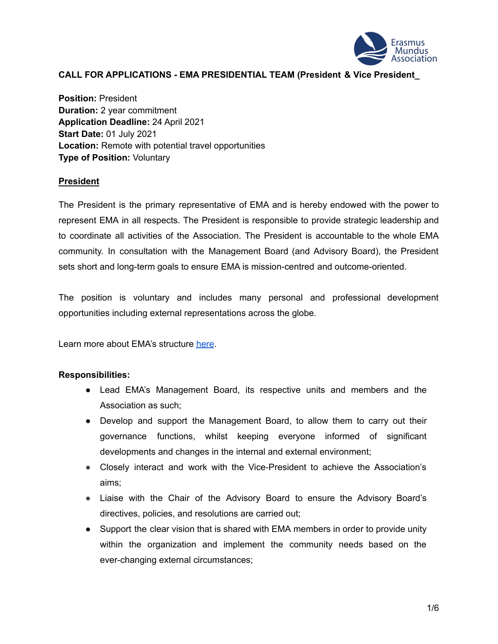

### **CALL FOR APPLICATIONS - EMA PRESIDENTIAL TEAM (President & Vice President\_**

**Position:** President **Duration:** 2 year commitment **Application Deadline:** 24 April 2021 **Start Date:** 01 July 2021 **Location:** Remote with potential travel opportunities **Type of Position:** Voluntary

#### **President**

The President is the primary representative of EMA and is hereby endowed with the power to represent EMA in all respects. The President is responsible to provide strategic leadership and to coordinate all activities of the Association. The President is accountable to the whole EMA community. In consultation with the Management Board (and Advisory Board), the President sets short and long-term goals to ensure EMA is mission-centred and outcome-oriented.

The position is voluntary and includes many personal and professional development opportunities including external representations across the globe.

Learn more about EMA's structure [here](https://www.em-a.eu/structure-and-history).

#### **Responsibilities:**

- Lead EMA's Management Board, its respective units and members and the Association as such;
- Develop and support the Management Board, to allow them to carry out their governance functions, whilst keeping everyone informed of significant developments and changes in the internal and external environment;
- Closely interact and work with the Vice-President to achieve the Association's aims;
- Liaise with the Chair of the Advisory Board to ensure the Advisory Board's directives, policies, and resolutions are carried out;
- Support the clear vision that is shared with EMA members in order to provide unity within the organization and implement the community needs based on the ever-changing external circumstances;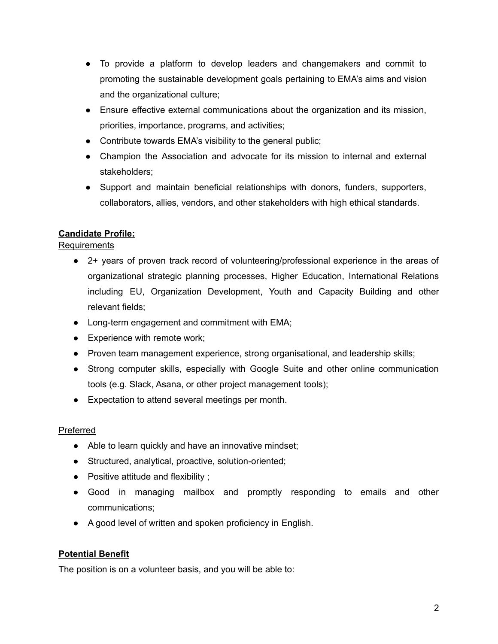- To provide a platform to develop leaders and changemakers and commit to promoting the sustainable development goals pertaining to EMA's aims and vision and the organizational culture;
- Ensure effective external communications about the organization and its mission, priorities, importance, programs, and activities;
- Contribute towards EMA's visibility to the general public;
- Champion the Association and advocate for its mission to internal and external stakeholders;
- Support and maintain beneficial relationships with donors, funders, supporters, collaborators, allies, vendors, and other stakeholders with high ethical standards.

# **Candidate Profile:**

# Requirements

- 2+ years of proven track record of volunteering/professional experience in the areas of organizational strategic planning processes, Higher Education, International Relations including EU, Organization Development, Youth and Capacity Building and other relevant fields;
- Long-term engagement and commitment with EMA;
- Experience with remote work;
- Proven team management experience, strong organisational, and leadership skills;
- Strong computer skills, especially with Google Suite and other online communication tools (e.g. Slack, Asana, or other project management tools);
- Expectation to attend several meetings per month.

# Preferred

- Able to learn quickly and have an innovative mindset;
- Structured, analytical, proactive, solution-oriented;
- Positive attitude and flexibility ;
- Good in managing mailbox and promptly responding to emails and other communications;
- A good level of written and spoken proficiency in English.

# **Potential Benefit**

The position is on a volunteer basis, and you will be able to: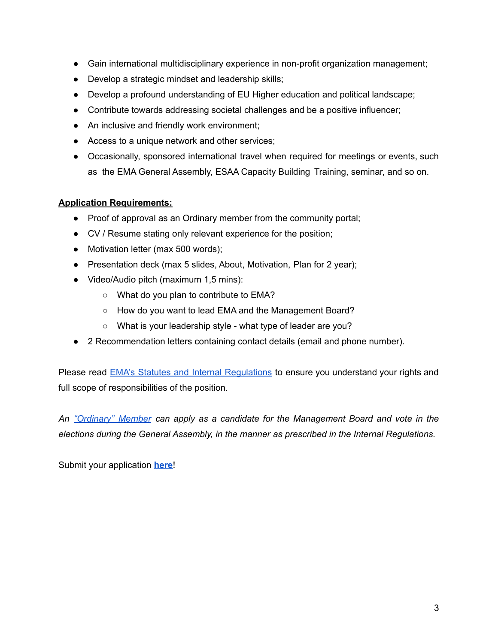- **●** Gain international multidisciplinary experience in non-profit organization management;
- **●** Develop a strategic mindset and leadership skills;
- **●** Develop a profound understanding of EU Higher education and political landscape;
- **●** Contribute towards addressing societal challenges and be a positive influencer;
- **●** An inclusive and friendly work environment;
- **●** Access to a unique network and other services;
- Occasionally, sponsored international travel when required for meetings or events, such as the EMA General Assembly, ESAA Capacity Building Training, seminar, and so on.

### **Application Requirements:**

- Proof of approval as an Ordinary member from the community portal;
- CV / Resume stating only relevant experience for the position;
- Motivation letter (max 500 words);
- Presentation deck (max 5 slides, About, Motivation, Plan for 2 year);
- Video/Audio pitch (maximum 1,5 mins):
	- What do you plan to contribute to EMA?
	- How do you want to lead EMA and the Management Board?
	- What is your leadership style what type of leader are you?
- 2 Recommendation letters containing contact details (email and phone number).

Please read **EMA's Statutes and Internal Requiations** to ensure you understand your rights and full scope of responsibilities of the position.

*An ["Ordinary"](https://www.em-a.eu/membership) Member can apply as a candidate for the Management Board and vote in the elections during the General Assembly, in the manner as prescribed in the Internal Regulations.*

Submit your application **[here](https://forms.gle/Kkm5Wrej2CahH1kZ6)**!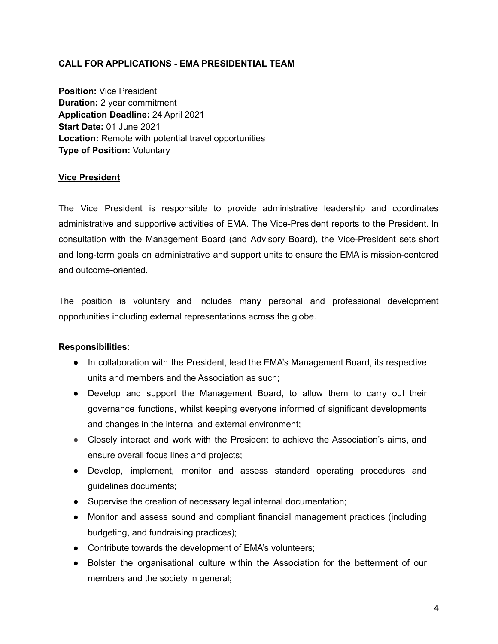## **CALL FOR APPLICATIONS - EMA PRESIDENTIAL TEAM**

**Position:** Vice President **Duration:** 2 year commitment **Application Deadline:** 24 April 2021 **Start Date:** 01 June 2021 **Location:** Remote with potential travel opportunities **Type of Position:** Voluntary

### **Vice President**

The Vice President is responsible to provide administrative leadership and coordinates administrative and supportive activities of EMA. The Vice-President reports to the President. In consultation with the Management Board (and Advisory Board), the Vice-President sets short and long-term goals on administrative and support units to ensure the EMA is mission-centered and outcome-oriented.

The position is voluntary and includes many personal and professional development opportunities including external representations across the globe.

#### **Responsibilities:**

- In collaboration with the President, lead the EMA's Management Board, its respective units and members and the Association as such;
- Develop and support the Management Board, to allow them to carry out their governance functions, whilst keeping everyone informed of significant developments and changes in the internal and external environment;
- Closely interact and work with the President to achieve the Association's aims, and ensure overall focus lines and projects;
- Develop, implement, monitor and assess standard operating procedures and guidelines documents;
- Supervise the creation of necessary legal internal documentation;
- Monitor and assess sound and compliant financial management practices (including budgeting, and fundraising practices);
- Contribute towards the development of EMA's volunteers;
- Bolster the organisational culture within the Association for the betterment of our members and the society in general;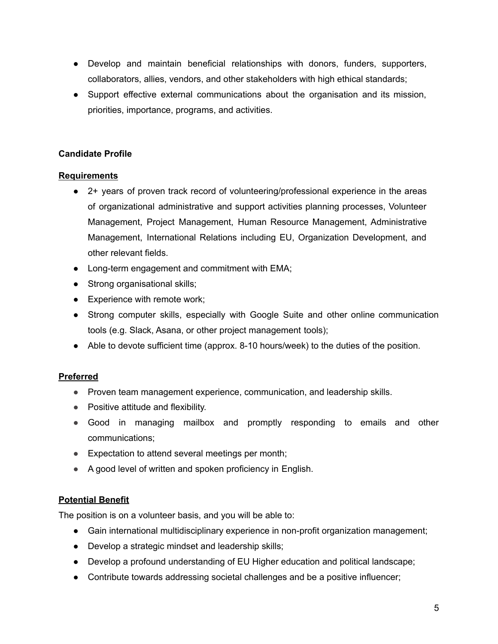- Develop and maintain beneficial relationships with donors, funders, supporters, collaborators, allies, vendors, and other stakeholders with high ethical standards;
- Support effective external communications about the organisation and its mission, priorities, importance, programs, and activities.

# **Candidate Profile**

# **Requirements**

- 2+ years of proven track record of volunteering/professional experience in the areas of organizational administrative and support activities planning processes, Volunteer Management, Project Management, Human Resource Management, Administrative Management, International Relations including EU, Organization Development, and other relevant fields.
- Long-term engagement and commitment with EMA;
- Strong organisational skills;
- Experience with remote work;
- Strong computer skills, especially with Google Suite and other online communication tools (e.g. Slack, Asana, or other project management tools);
- Able to devote sufficient time (approx. 8-10 hours/week) to the duties of the position.

# **Preferred**

- Proven team management experience, communication, and leadership skills.
- Positive attitude and flexibility.
- Good in managing mailbox and promptly responding to emails and other communications;
- Expectation to attend several meetings per month;
- A good level of written and spoken proficiency in English.

# **Potential Benefit**

The position is on a volunteer basis, and you will be able to:

- **●** Gain international multidisciplinary experience in non-profit organization management;
- **●** Develop a strategic mindset and leadership skills;
- **●** Develop a profound understanding of EU Higher education and political landscape;
- **●** Contribute towards addressing societal challenges and be a positive influencer;